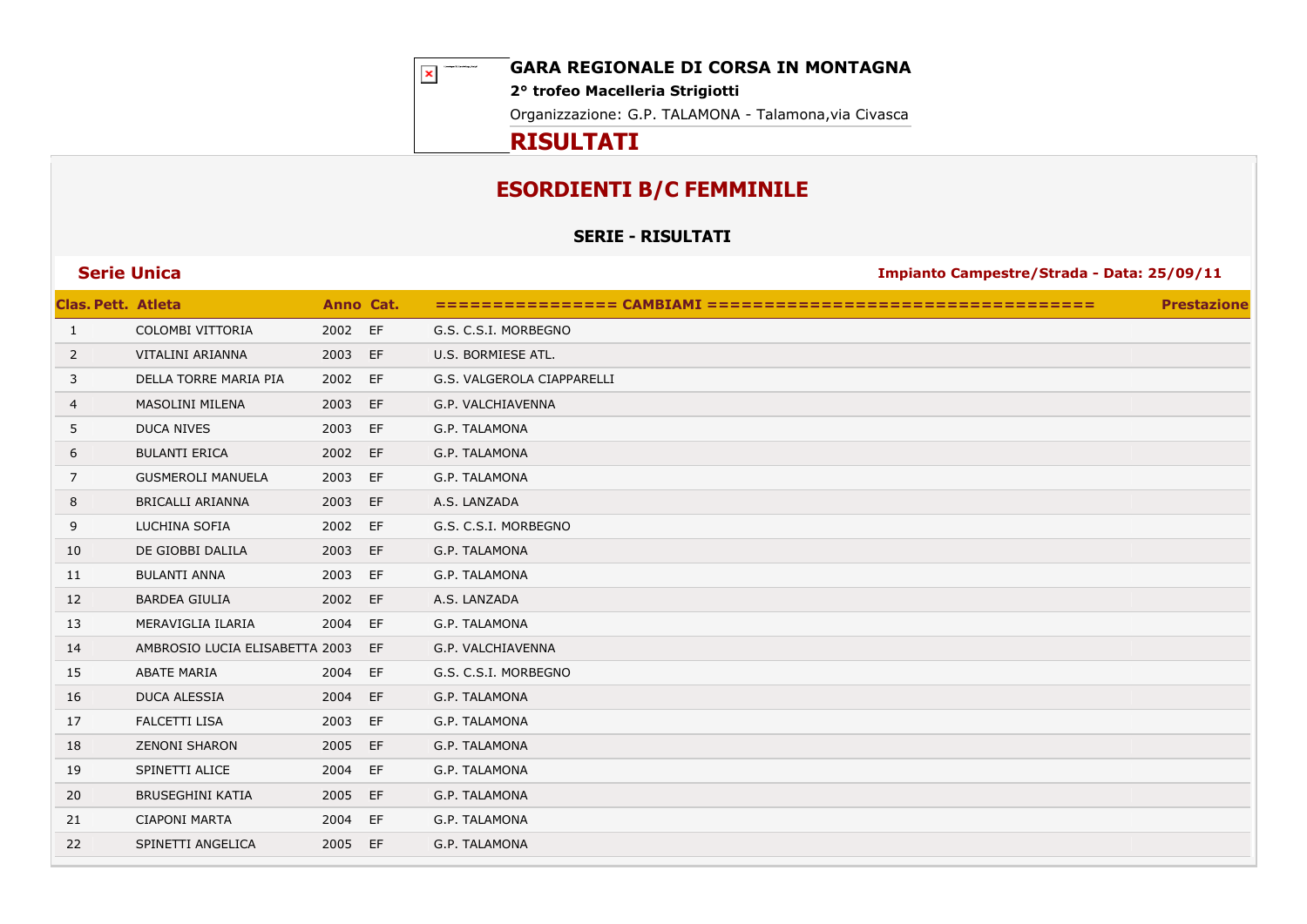$\vert \mathbf{x} \vert$ 

**GARA REGIONALE DI CORSA IN MONTAGNA**

**2° trofeo Macelleria Strigiotti**

Organizzazione: G.P. TALAMONA - Talamona,via Civasca

## **RISULTATI**

# **ESORDIENTI B/C FEMMINILE**

**SERIE - RISULTATI**

| <b>Clas. Pett. Atleta</b> |                                | Anno Cat. |    |                            | <b>Prestazione</b> |
|---------------------------|--------------------------------|-----------|----|----------------------------|--------------------|
| 1                         | COLOMBI VITTORIA               | 2002 EF   |    | G.S. C.S.I. MORBEGNO       |                    |
| $\overline{2}$            | VITALINI ARIANNA               | 2003 EF   |    | U.S. BORMIESE ATL.         |                    |
| 3                         | DELLA TORRE MARIA PIA          | 2002 EF   |    | G.S. VALGEROLA CIAPPARELLI |                    |
| 4                         | <b>MASOLINI MILENA</b>         | 2003      | EF | G.P. VALCHIAVENNA          |                    |
| 5                         | <b>DUCA NIVES</b>              | 2003      | EF | G.P. TALAMONA              |                    |
| 6                         | <b>BULANTI ERICA</b>           | 2002 EF   |    | G.P. TALAMONA              |                    |
| 7                         | <b>GUSMEROLI MANUELA</b>       | 2003 EF   |    | G.P. TALAMONA              |                    |
| 8                         | <b>BRICALLI ARIANNA</b>        | 2003 EF   |    | A.S. LANZADA               |                    |
| 9                         | LUCHINA SOFIA                  | 2002 EF   |    | G.S. C.S.I. MORBEGNO       |                    |
| 10                        | DE GIOBBI DALILA               | 2003      | EF | G.P. TALAMONA              |                    |
| 11                        | <b>BULANTI ANNA</b>            | 2003      | EF | G.P. TALAMONA              |                    |
| 12                        | <b>BARDEA GIULIA</b>           | 2002 EF   |    | A.S. LANZADA               |                    |
| 13                        | MERAVIGLIA ILARIA              | 2004 EF   |    | G.P. TALAMONA              |                    |
| 14                        | AMBROSIO LUCIA ELISABETTA 2003 |           | EF | G.P. VALCHIAVENNA          |                    |
| 15                        | <b>ABATE MARIA</b>             | 2004      | EF | G.S. C.S.I. MORBEGNO       |                    |
| 16                        | <b>DUCA ALESSIA</b>            | 2004      | EF | G.P. TALAMONA              |                    |
| 17                        | <b>FALCETTI LISA</b>           | 2003 EF   |    | G.P. TALAMONA              |                    |
| 18                        | <b>ZENONI SHARON</b>           | 2005      | EF | G.P. TALAMONA              |                    |
| 19                        | SPINETTI ALICE                 | 2004 EF   |    | G.P. TALAMONA              |                    |
| 20                        | <b>BRUSEGHINI KATIA</b>        | 2005 EF   |    | G.P. TALAMONA              |                    |
| 21                        | <b>CIAPONI MARTA</b>           | 2004 EF   |    | G.P. TALAMONA              |                    |
| 22                        | SPINETTI ANGELICA              | 2005 EF   |    | G.P. TALAMONA              |                    |
|                           |                                |           |    |                            |                    |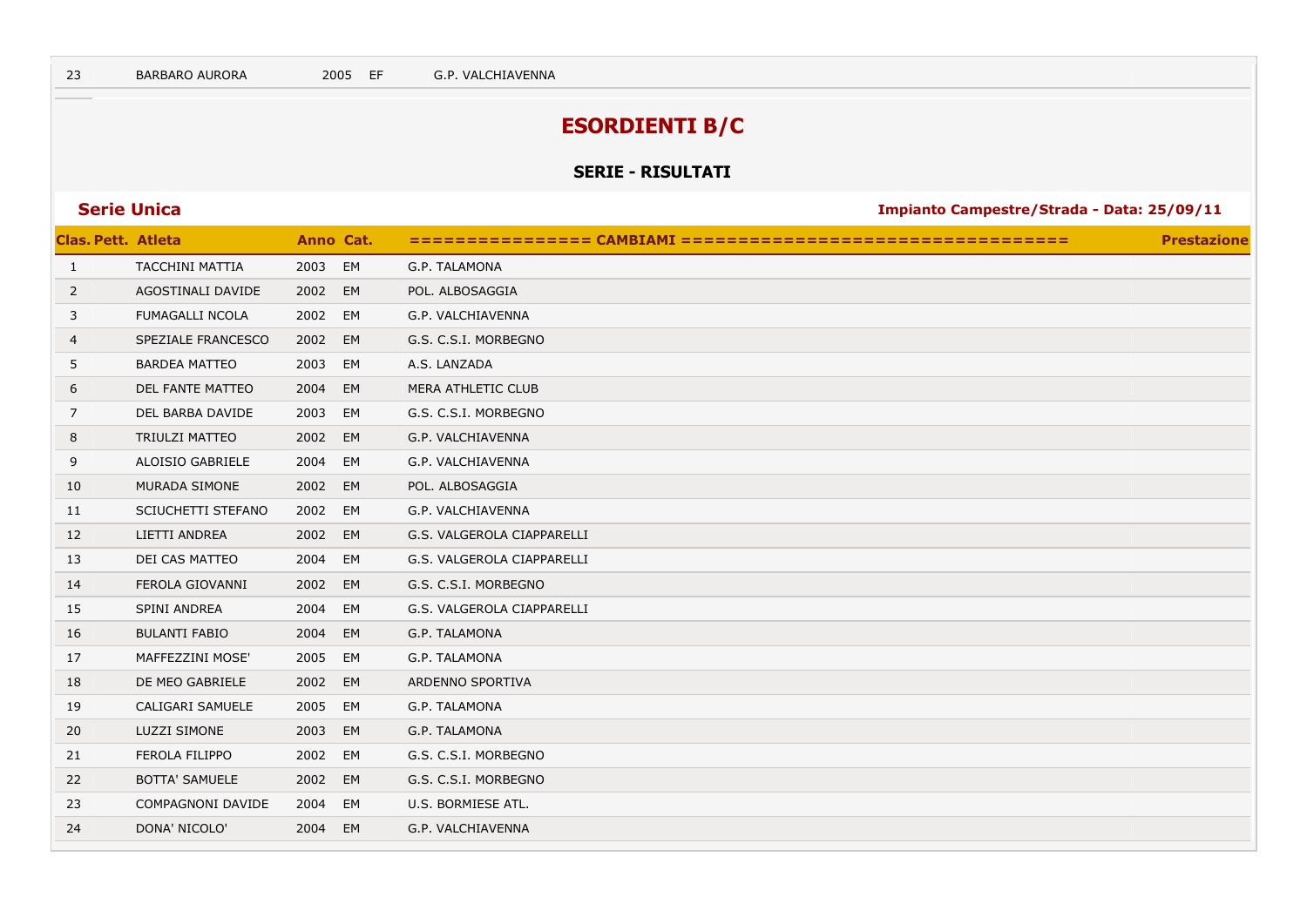# **ESORDIENTI B/C**

### **SERIE - RISULTATI**

| <b>Clas. Pett. Atleta</b> |                        |         | Anno Cat. |                            | <b>Prestazione</b> |
|---------------------------|------------------------|---------|-----------|----------------------------|--------------------|
| $\mathbf{1}$              | <b>TACCHINI MATTIA</b> | 2003    | EM        | G.P. TALAMONA              |                    |
| $\overline{2}$            | AGOSTINALI DAVIDE      | 2002    | EM        | POL. ALBOSAGGIA            |                    |
| 3                         | <b>FUMAGALLI NCOLA</b> | 2002    | EM        | G.P. VALCHIAVENNA          |                    |
| 4                         | SPEZIALE FRANCESCO     | 2002    | EM        | G.S. C.S.I. MORBEGNO       |                    |
| 5                         | <b>BARDEA MATTEO</b>   | 2003    | EM        | A.S. LANZADA               |                    |
| 6                         | DEL FANTE MATTEO       | 2004    | EM        | MERA ATHLETIC CLUB         |                    |
| 7                         | DEL BARBA DAVIDE       | 2003    | EM        | G.S. C.S.I. MORBEGNO       |                    |
| 8                         | TRIULZI MATTEO         | 2002    | EM        | G.P. VALCHIAVENNA          |                    |
| 9                         | ALOISIO GABRIELE       | 2004    | EM        | G.P. VALCHIAVENNA          |                    |
| 10                        | MURADA SIMONE          | 2002 EM |           | POL. ALBOSAGGIA            |                    |
| 11                        | SCIUCHETTI STEFANO     | 2002 EM |           | G.P. VALCHIAVENNA          |                    |
| 12                        | LIETTI ANDREA          | 2002 EM |           | G.S. VALGEROLA CIAPPARELLI |                    |
| 13                        | DEI CAS MATTEO         | 2004    | EM        | G.S. VALGEROLA CIAPPARELLI |                    |
| 14                        | FEROLA GIOVANNI        | 2002 EM |           | G.S. C.S.I. MORBEGNO       |                    |
| 15                        | SPINI ANDREA           | 2004    | EM        | G.S. VALGEROLA CIAPPARELLI |                    |
| 16                        | <b>BULANTI FABIO</b>   | 2004    | EM        | G.P. TALAMONA              |                    |
| 17                        | MAFFEZZINI MOSE'       | 2005    | EM        | G.P. TALAMONA              |                    |
| 18                        | DE MEO GABRIELE        | 2002    | EM        | ARDENNO SPORTIVA           |                    |
| 19                        | CALIGARI SAMUELE       | 2005    | EM        | G.P. TALAMONA              |                    |
| 20                        | <b>LUZZI SIMONE</b>    | 2003    | EM        | G.P. TALAMONA              |                    |
| 21                        | FEROLA FILIPPO         | 2002    | EM        | G.S. C.S.I. MORBEGNO       |                    |
| 22                        | <b>BOTTA' SAMUELE</b>  | 2002    | EM        | G.S. C.S.I. MORBEGNO       |                    |
| 23                        | COMPAGNONI DAVIDE      | 2004    | EM        | U.S. BORMIESE ATL.         |                    |
| 24                        | DONA' NICOLO'          | 2004 EM |           | G.P. VALCHIAVENNA          |                    |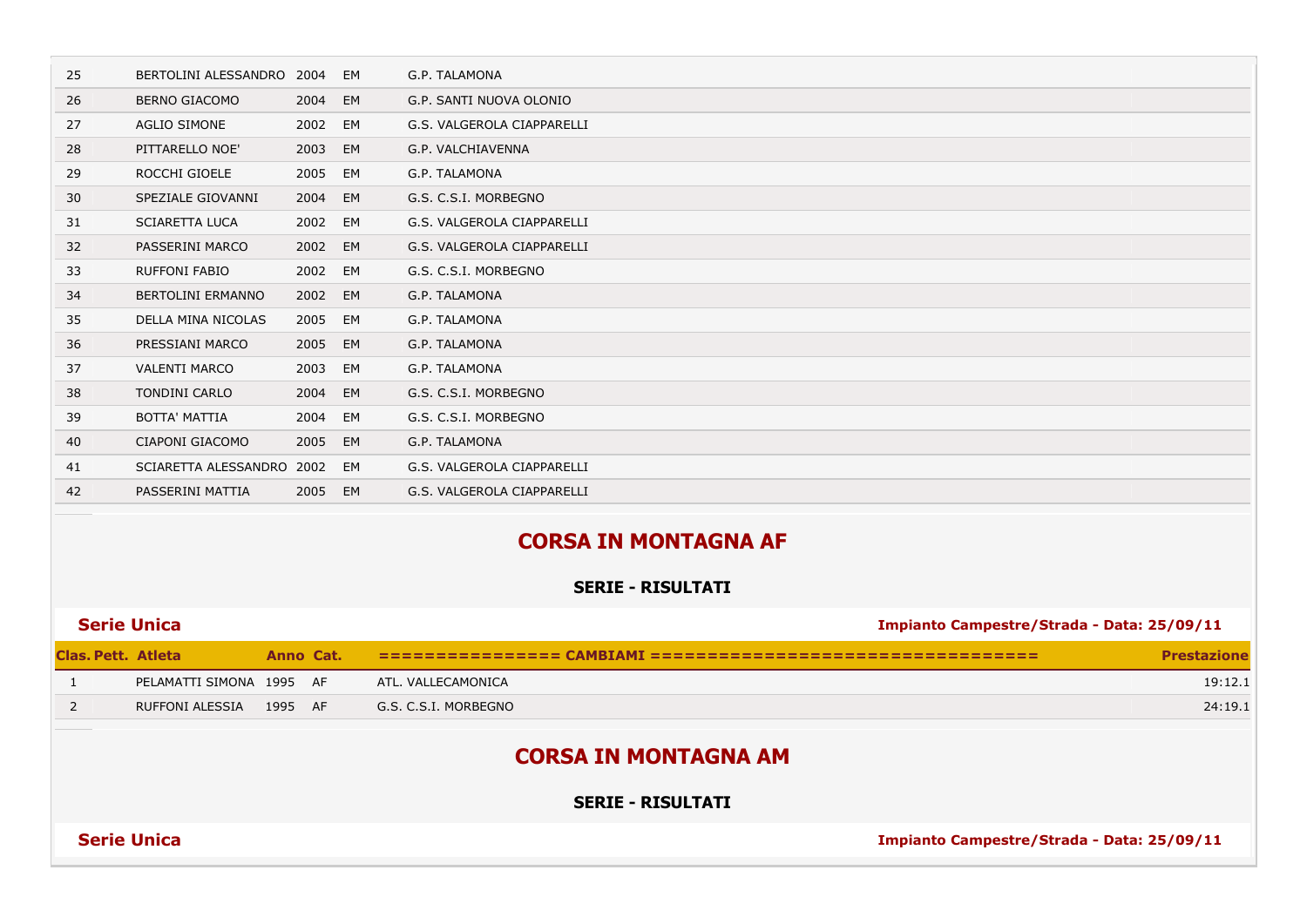| 25                        | BERTOLINI ALESSANDRO        | 2004      | EM | G.P. TALAMONA                                           |                                            |  |  |  |
|---------------------------|-----------------------------|-----------|----|---------------------------------------------------------|--------------------------------------------|--|--|--|
| 26                        | <b>BERNO GIACOMO</b>        | 2004      | EM | G.P. SANTI NUOVA OLONIO                                 |                                            |  |  |  |
| 27                        | <b>AGLIO SIMONE</b>         | 2002      | EM | G.S. VALGEROLA CIAPPARELLI                              |                                            |  |  |  |
| 28                        | PITTARELLO NOE'             | 2003      | EM | G.P. VALCHIAVENNA                                       |                                            |  |  |  |
| 29                        | ROCCHI GIOELE               | 2005      | EM | G.P. TALAMONA                                           |                                            |  |  |  |
| 30                        | SPEZIALE GIOVANNI           | 2004      | EM | G.S. C.S.I. MORBEGNO                                    |                                            |  |  |  |
| 31                        | <b>SCIARETTA LUCA</b>       | 2002      | EM | G.S. VALGEROLA CIAPPARELLI                              |                                            |  |  |  |
| 32                        | PASSERINI MARCO             | 2002      | EM | G.S. VALGEROLA CIAPPARELLI                              |                                            |  |  |  |
| 33                        | RUFFONI FABIO               | 2002      | EM | G.S. C.S.I. MORBEGNO                                    |                                            |  |  |  |
| 34                        | <b>BERTOLINI ERMANNO</b>    | 2002      | EM | G.P. TALAMONA                                           |                                            |  |  |  |
| 35                        | <b>DELLA MINA NICOLAS</b>   | 2005      | EM | G.P. TALAMONA                                           |                                            |  |  |  |
| 36                        | PRESSIANI MARCO             | 2005      | EM | G.P. TALAMONA                                           |                                            |  |  |  |
| 37                        | <b>VALENTI MARCO</b>        | 2003      | EM | G.P. TALAMONA                                           |                                            |  |  |  |
| 38                        | TONDINI CARLO               | 2004      | EM | G.S. C.S.I. MORBEGNO                                    |                                            |  |  |  |
| 39                        | <b>BOTTA' MATTIA</b>        | 2004      | EM | G.S. C.S.I. MORBEGNO                                    |                                            |  |  |  |
| 40                        | CIAPONI GIACOMO             | 2005      | EM | G.P. TALAMONA                                           |                                            |  |  |  |
| 41                        | SCIARETTA ALESSANDRO 2002   |           | EM | G.S. VALGEROLA CIAPPARELLI                              |                                            |  |  |  |
| 42                        | PASSERINI MATTIA            | 2005      | EM | G.S. VALGEROLA CIAPPARELLI                              |                                            |  |  |  |
|                           |                             |           |    | <b>CORSA IN MONTAGNA AF</b><br><b>SERIE - RISULTATI</b> |                                            |  |  |  |
|                           | <b>Serie Unica</b>          |           |    |                                                         | Impianto Campestre/Strada - Data: 25/09/11 |  |  |  |
| <b>Clas. Pett. Atleta</b> |                             | Anno Cat. |    |                                                         | <b>Prestazione</b>                         |  |  |  |
| 1                         | PELAMATTI SIMONA 1995 AF    |           |    | ATL. VALLECAMONICA                                      | 19:12.1                                    |  |  |  |
| $\overline{2}$            | RUFFONI ALESSIA             | 1995 AF   |    | G.S. C.S.I. MORBEGNO                                    | 24:19.1                                    |  |  |  |
|                           |                             |           |    |                                                         |                                            |  |  |  |
|                           | <b>CORSA IN MONTAGNA AM</b> |           |    |                                                         |                                            |  |  |  |

**SERIE - RISULTATI**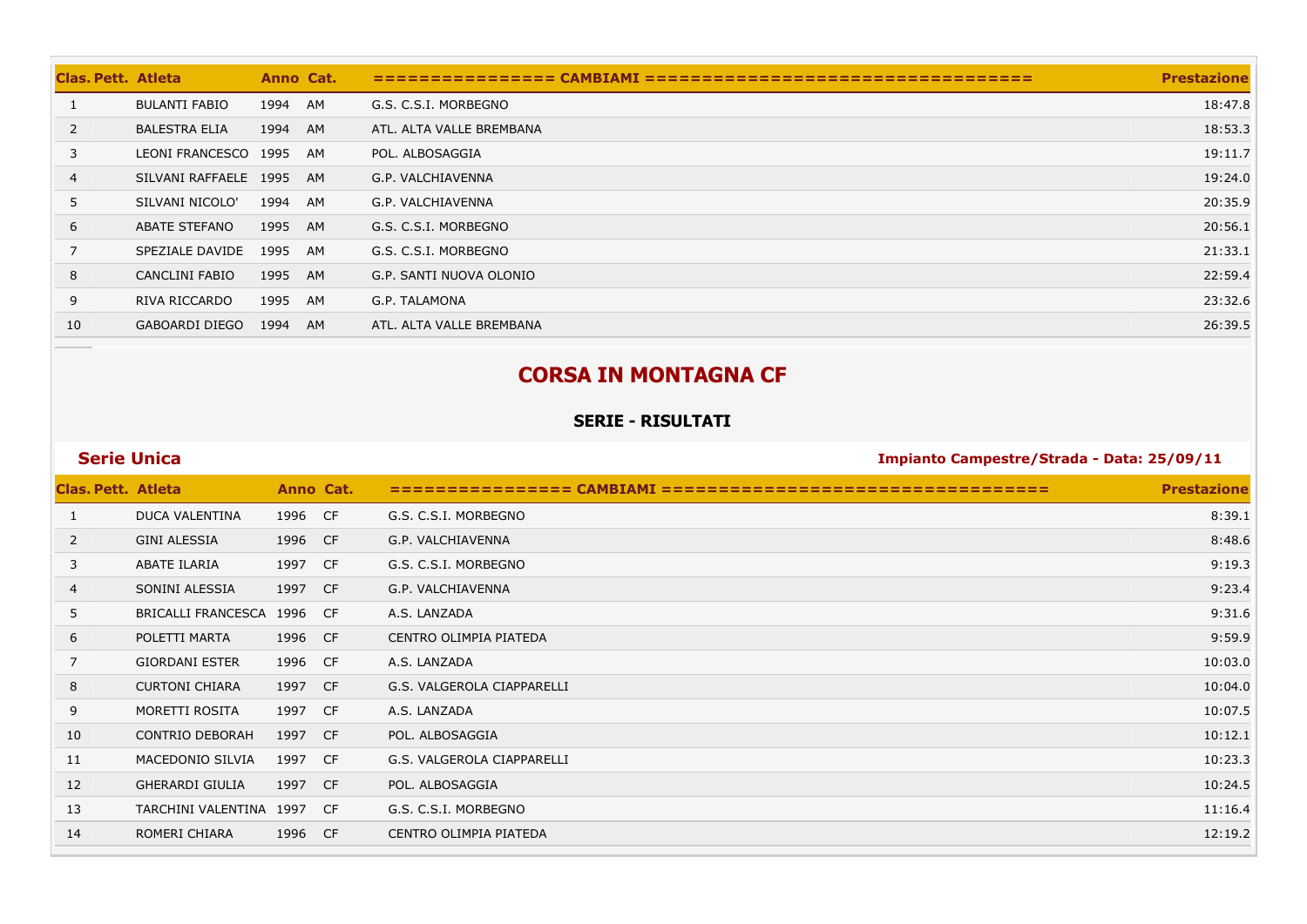| <b>Clas, Pett. Atleta</b> |                       | Anno Cat. |    |                          | <b>Prestazione</b> |
|---------------------------|-----------------------|-----------|----|--------------------------|--------------------|
|                           | <b>BULANTI FABIO</b>  | 1994      | AM | G.S. C.S.I. MORBEGNO     | 18:47.8            |
| 2                         | <b>BALESTRA ELIA</b>  | 1994      | AM | ATL. ALTA VALLE BREMBANA | 18:53.3            |
| 3                         | LEONI FRANCESCO 1995  |           | AM | POL. ALBOSAGGIA          | 19:11.7            |
| $\overline{4}$            | SILVANI RAFFAELE 1995 |           | AM | G.P. VALCHIAVENNA        | 19:24.0            |
| 5                         | SILVANI NICOLO'       | 1994      | AM | G.P. VALCHIAVENNA        | 20:35.9            |
| 6                         | <b>ABATE STEFANO</b>  | 1995      | AM | G.S. C.S.I. MORBEGNO     | 20:56.1            |
| $\overline{7}$            | SPEZIALE DAVIDE       | 1995      | AM | G.S. C.S.I. MORBEGNO     | 21:33.1            |
| 8                         | CANCLINI FABIO        | 1995      | AM | G.P. SANTI NUOVA OLONIO  | 22:59.4            |
| 9                         | RIVA RICCARDO         | 1995      | AM | G.P. TALAMONA            | 23:32.6            |
| 10                        | <b>GABOARDI DIEGO</b> | 1994      | AM | ATL. ALTA VALLE BREMBANA | 26:39.5            |

# **CORSA IN MONTAGNA CF**

### **SERIE - RISULTATI**

| <b>Clas. Pett. Atleta</b> |                         | Anno Cat. |           |                            | <b>Prestazione</b> |
|---------------------------|-------------------------|-----------|-----------|----------------------------|--------------------|
| 1                         | DUCA VALENTINA          | 1996      | <b>CF</b> | G.S. C.S.I. MORBEGNO       | 8:39.1             |
| 2                         | <b>GINI ALESSIA</b>     | 1996      | <b>CF</b> | G.P. VALCHIAVENNA          | 8:48.6             |
| 3                         | ABATE ILARIA            | 1997      | <b>CF</b> | G.S. C.S.I. MORBEGNO       | 9:19.3             |
| $\overline{4}$            | SONINI ALESSIA          | 1997      | CF        | G.P. VALCHIAVENNA          | 9:23.4             |
| 5                         | BRICALLI FRANCESCA      | 1996      | CF        | A.S. LANZADA               | 9:31.6             |
| 6                         | POLETTI MARTA           | 1996      | <b>CF</b> | CENTRO OLIMPIA PIATEDA     | 9:59.9             |
| 7                         | <b>GIORDANI ESTER</b>   | 1996      | <b>CF</b> | A.S. LANZADA               | 10:03.0            |
| 8                         | <b>CURTONI CHIARA</b>   | 1997      | CF        | G.S. VALGEROLA CIAPPARELLI | 10:04.0            |
| 9                         | MORETTI ROSITA          | 1997      | - CF      | A.S. LANZADA               | 10:07.5            |
| 10                        | <b>CONTRIO DEBORAH</b>  | 1997      | <b>CF</b> | POL. ALBOSAGGIA            | 10:12.1            |
| 11                        | MACEDONIO SILVIA        | 1997      | <b>CF</b> | G.S. VALGEROLA CIAPPARELLI | 10:23.3            |
| 12                        | <b>GHERARDI GIULIA</b>  | 1997      | <b>CF</b> | POL. ALBOSAGGIA            | 10:24.5            |
| 13                        | TARCHINI VALENTINA 1997 |           | CF        | G.S. C.S.I. MORBEGNO       | 11:16.4            |
| 14                        | ROMERI CHIARA           | 1996      | <b>CF</b> | CENTRO OLIMPIA PIATEDA     | 12:19.2            |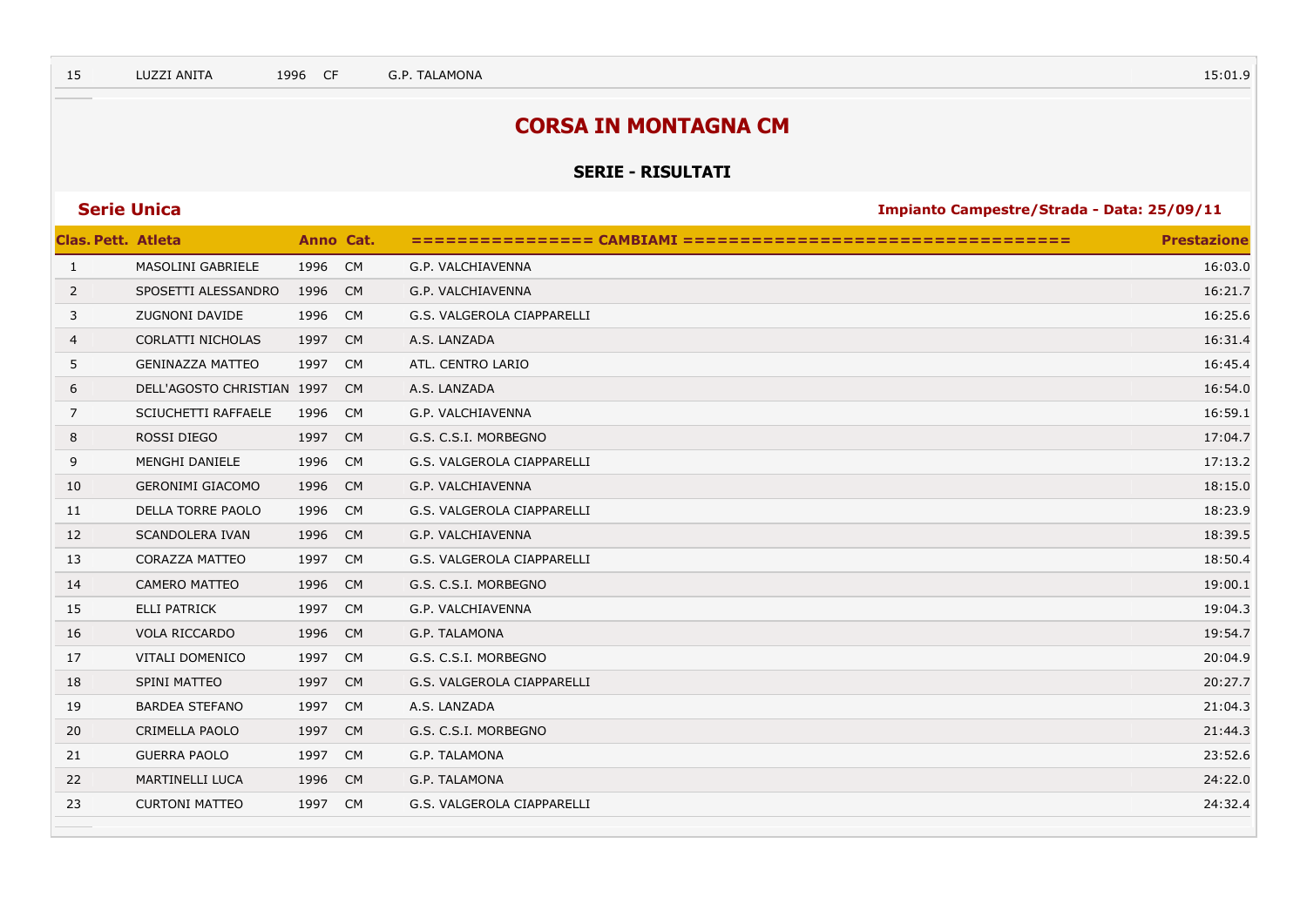## **CORSA IN MONTAGNA CM**

### **SERIE - RISULTATI**

| <b>Clas. Pett. Atleta</b> |                            | Anno Cat. |           |                            | <b>Prestazione</b> |
|---------------------------|----------------------------|-----------|-----------|----------------------------|--------------------|
| $\mathbf{1}$              | MASOLINI GABRIELE          | 1996      | CM        | G.P. VALCHIAVENNA          | 16:03.0            |
| 2                         | SPOSETTI ALESSANDRO        | 1996      | <b>CM</b> | G.P. VALCHIAVENNA          | 16:21.7            |
| 3                         | <b>ZUGNONI DAVIDE</b>      | 1996      | <b>CM</b> | G.S. VALGEROLA CIAPPARELLI | 16:25.6            |
| 4                         | CORLATTI NICHOLAS          | 1997      | <b>CM</b> | A.S. LANZADA               | 16:31.4            |
| 5                         | <b>GENINAZZA MATTEO</b>    | 1997      | <b>CM</b> | ATL. CENTRO LARIO          | 16:45.4            |
| 6                         | DELL'AGOSTO CHRISTIAN 1997 |           | <b>CM</b> | A.S. LANZADA               | 16:54.0            |
| $\overline{7}$            | SCIUCHETTI RAFFAELE        | 1996      | <b>CM</b> | G.P. VALCHIAVENNA          | 16:59.1            |
| 8                         | ROSSI DIEGO                | 1997      | <b>CM</b> | G.S. C.S.I. MORBEGNO       | 17:04.7            |
| 9                         | MENGHI DANIELE             | 1996      | <b>CM</b> | G.S. VALGEROLA CIAPPARELLI | 17:13.2            |
| 10                        | <b>GERONIMI GIACOMO</b>    | 1996      | <b>CM</b> | G.P. VALCHIAVENNA          | 18:15.0            |
| 11                        | DELLA TORRE PAOLO          | 1996      | <b>CM</b> | G.S. VALGEROLA CIAPPARELLI | 18:23.9            |
| 12                        | <b>SCANDOLERA IVAN</b>     | 1996      | <b>CM</b> | G.P. VALCHIAVENNA          | 18:39.5            |
| 13                        | <b>CORAZZA MATTEO</b>      | 1997      | <b>CM</b> | G.S. VALGEROLA CIAPPARELLI | 18:50.4            |
| 14                        | <b>CAMERO MATTEO</b>       | 1996      | <b>CM</b> | G.S. C.S.I. MORBEGNO       | 19:00.1            |
| 15                        | <b>ELLI PATRICK</b>        | 1997 CM   |           | G.P. VALCHIAVENNA          | 19:04.3            |
| 16                        | VOLA RICCARDO              | 1996      | <b>CM</b> | G.P. TALAMONA              | 19:54.7            |
| 17                        | VITALI DOMENICO            | 1997      | <b>CM</b> | G.S. C.S.I. MORBEGNO       | 20:04.9            |
| 18                        | SPINI MATTEO               | 1997      | <b>CM</b> | G.S. VALGEROLA CIAPPARELLI | 20:27.7            |
| 19                        | <b>BARDEA STEFANO</b>      | 1997      | CM        | A.S. LANZADA               | 21:04.3            |
| 20                        | CRIMELLA PAOLO             | 1997      | <b>CM</b> | G.S. C.S.I. MORBEGNO       | 21:44.3            |
| 21                        | <b>GUERRA PAOLO</b>        | 1997 CM   |           | G.P. TALAMONA              | 23:52.6            |
| 22                        | <b>MARTINELLI LUCA</b>     | 1996      | <b>CM</b> | G.P. TALAMONA              | 24:22.0            |
| 23                        | <b>CURTONI MATTEO</b>      | 1997      | <b>CM</b> | G.S. VALGEROLA CIAPPARELLI | 24:32.4            |
|                           |                            |           |           |                            |                    |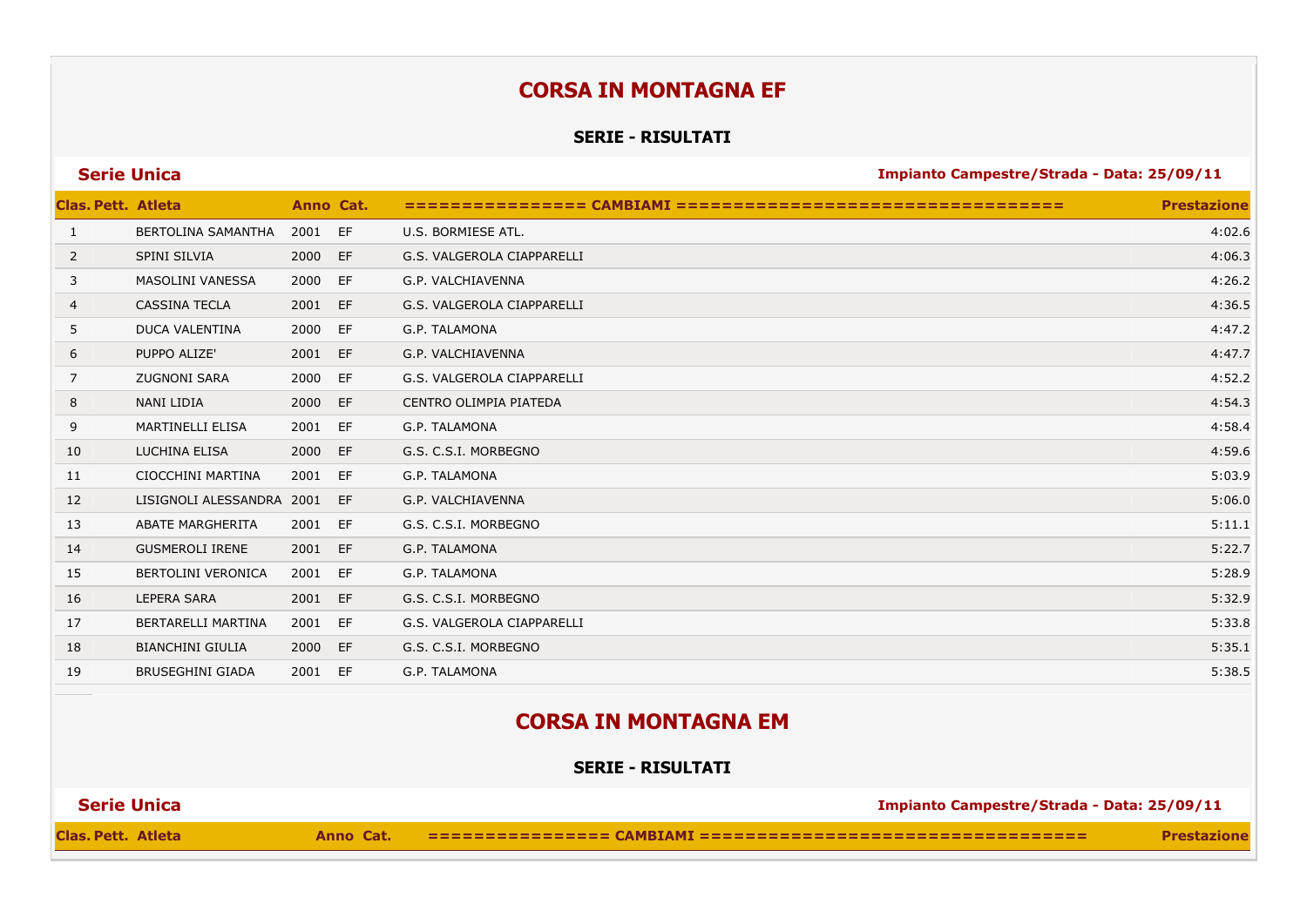## **CORSA IN MONTAGNA EF**

### **SERIE - RISULTATI**

| <b>Serie Unica</b> |  |  |
|--------------------|--|--|
|                    |  |  |
|                    |  |  |

**Series 25/09/11 Impianto Campestre/Strada - Data: 25/09/11** 

| <b>Clas. Pett. Atleta</b> |                           |      | Anno Cat. |                            | <b>Prestazione</b> |
|---------------------------|---------------------------|------|-----------|----------------------------|--------------------|
| 1                         | BERTOLINA SAMANTHA        | 2001 | EF        | U.S. BORMIESE ATL.         | 4:02.6             |
| 2                         | SPINI SILVIA              | 2000 | EF        | G.S. VALGEROLA CIAPPARELLI | 4:06.3             |
| 3                         | MASOLINI VANESSA          | 2000 | EF        | G.P. VALCHIAVENNA          | 4:26.2             |
| $\overline{4}$            | <b>CASSINA TECLA</b>      | 2001 | EF        | G.S. VALGEROLA CIAPPARELLI | 4:36.5             |
| 5                         | <b>DUCA VALENTINA</b>     | 2000 | EF        | G.P. TALAMONA              | 4:47.2             |
| 6                         | PUPPO ALIZE'              | 2001 | EF        | G.P. VALCHIAVENNA          | 4:47.7             |
| 7                         | <b>ZUGNONI SARA</b>       | 2000 | EF        | G.S. VALGEROLA CIAPPARELLI | 4:52.2             |
| 8                         | NANI LIDIA                | 2000 | EF        | CENTRO OLIMPIA PIATEDA     | 4:54.3             |
| 9                         | <b>MARTINELLI ELISA</b>   | 2001 | EF        | G.P. TALAMONA              | 4:58.4             |
| 10                        | LUCHINA ELISA             | 2000 | EF        | G.S. C.S.I. MORBEGNO       | 4:59.6             |
| 11                        | CIOCCHINI MARTINA         | 2001 | EF        | G.P. TALAMONA              | 5:03.9             |
| 12                        | LISIGNOLI ALESSANDRA 2001 |      | EF        | G.P. VALCHIAVENNA          | 5:06.0             |
| 13                        | <b>ABATE MARGHERITA</b>   | 2001 | EF        | G.S. C.S.I. MORBEGNO       | 5:11.1             |
| 14                        | <b>GUSMEROLI IRENE</b>    | 2001 | EF        | G.P. TALAMONA              | 5:22.7             |
| 15                        | <b>BERTOLINI VERONICA</b> | 2001 | EF        | G.P. TALAMONA              | 5:28.9             |
| 16                        | <b>LEPERA SARA</b>        | 2001 | EF        | G.S. C.S.I. MORBEGNO       | 5:32.9             |
| 17                        | BERTARELLI MARTINA        | 2001 | EF        | G.S. VALGEROLA CIAPPARELLI | 5:33.8             |
| 18                        | <b>BIANCHINI GIULIA</b>   | 2000 | EF        | G.S. C.S.I. MORBEGNO       | 5:35.1             |
| 19                        | <b>BRUSEGHINI GIADA</b>   | 2001 | EF        | G.P. TALAMONA              | 5:38.5             |
|                           |                           |      |           |                            |                    |

## **CORSA IN MONTAGNA EM**

**SERIE - RISULTATI**

| <b>Serie Unica</b><br>Impianto Campestre/Strada - Data: 25/09/11 |           |  |                    |
|------------------------------------------------------------------|-----------|--|--------------------|
| Clas. Pett. Atleta                                               | Anno Cat. |  | <b>Prestazione</b> |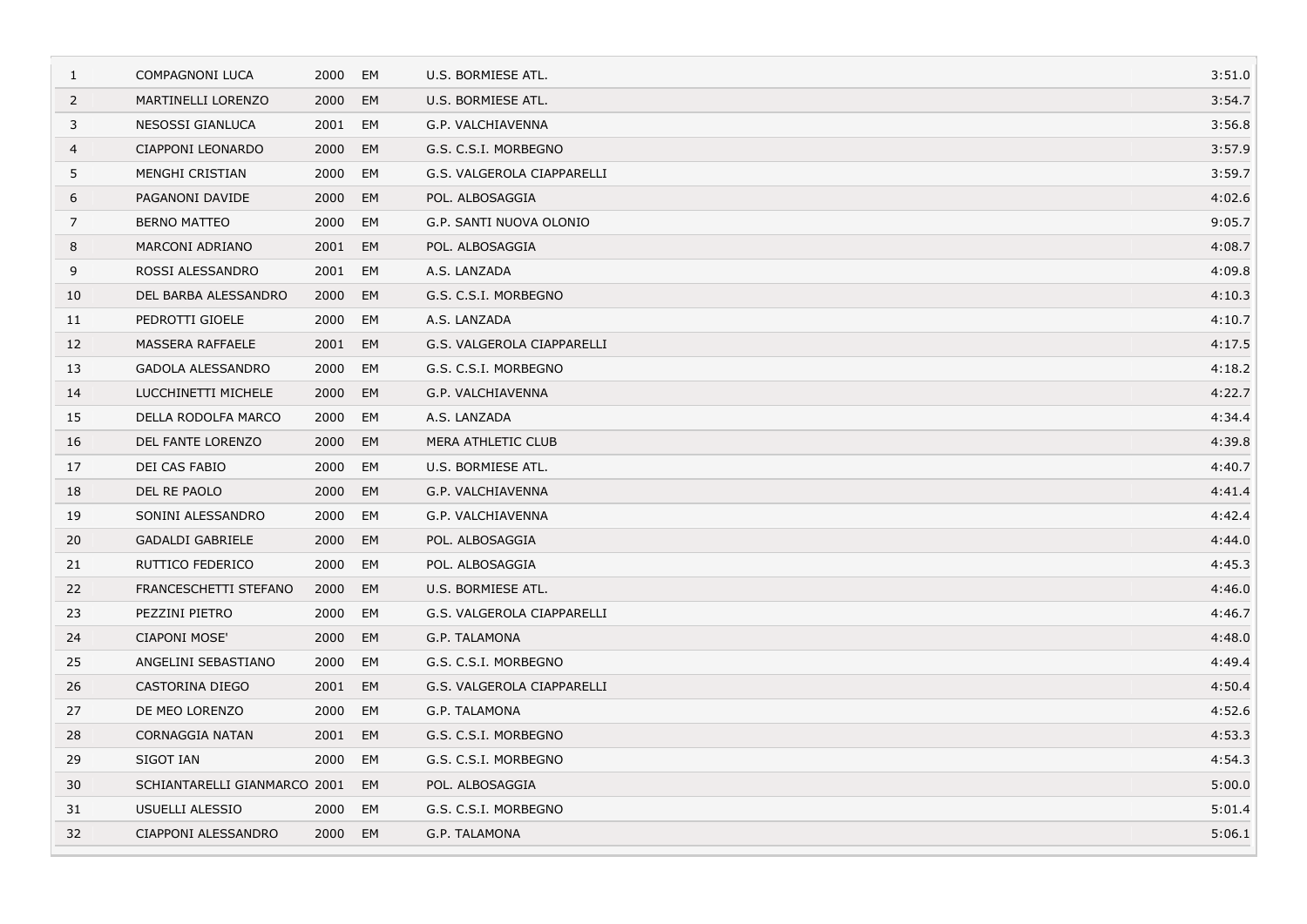| 1              | <b>COMPAGNONI LUCA</b>       | 2000    | EM | U.S. BORMIESE ATL.         | 3:51.0 |
|----------------|------------------------------|---------|----|----------------------------|--------|
| $\overline{2}$ | MARTINELLI LORENZO           | 2000    | EM | U.S. BORMIESE ATL.         | 3:54.7 |
| 3              | NESOSSI GIANLUCA             | 2001    | EM | G.P. VALCHIAVENNA          | 3:56.8 |
| 4              | CIAPPONI LEONARDO            | 2000    | EM | G.S. C.S.I. MORBEGNO       | 3:57.9 |
| 5              | MENGHI CRISTIAN              | 2000    | EM | G.S. VALGEROLA CIAPPARELLI | 3:59.7 |
| 6              | PAGANONI DAVIDE              | 2000    | EM | POL. ALBOSAGGIA            | 4:02.6 |
| 7              | <b>BERNO MATTEO</b>          | 2000    | EM | G.P. SANTI NUOVA OLONIO    | 9:05.7 |
| 8              | MARCONI ADRIANO              | 2001    | EM | POL. ALBOSAGGIA            | 4:08.7 |
| 9              | ROSSI ALESSANDRO             | 2001    | EM | A.S. LANZADA               | 4:09.8 |
| 10             | DEL BARBA ALESSANDRO         | 2000    | EM | G.S. C.S.I. MORBEGNO       | 4:10.3 |
| 11             | PEDROTTI GIOELE              | 2000    | EM | A.S. LANZADA               | 4:10.7 |
| 12             | MASSERA RAFFAELE             | 2001 EM |    | G.S. VALGEROLA CIAPPARELLI | 4:17.5 |
| 13             | <b>GADOLA ALESSANDRO</b>     | 2000    | EM | G.S. C.S.I. MORBEGNO       | 4:18.2 |
| 14             | LUCCHINETTI MICHELE          | 2000    | EM | G.P. VALCHIAVENNA          | 4:22.7 |
| 15             | DELLA RODOLFA MARCO          | 2000    | EM | A.S. LANZADA               | 4:34.4 |
| 16             | DEL FANTE LORENZO            | 2000    | EM | MERA ATHLETIC CLUB         | 4:39.8 |
| 17             | DEI CAS FABIO                | 2000    | EM | U.S. BORMIESE ATL.         | 4:40.7 |
| 18             | DEL RE PAOLO                 | 2000    | EM | G.P. VALCHIAVENNA          | 4:41.4 |
| 19             | SONINI ALESSANDRO            | 2000    | EM | G.P. VALCHIAVENNA          | 4:42.4 |
| 20             | <b>GADALDI GABRIELE</b>      | 2000    | EM | POL. ALBOSAGGIA            | 4:44.0 |
| 21             | RUTTICO FEDERICO             | 2000    | EM | POL. ALBOSAGGIA            | 4:45.3 |
| 22             | FRANCESCHETTI STEFANO        | 2000    | EM | U.S. BORMIESE ATL.         | 4:46.0 |
| 23             | PEZZINI PIETRO               | 2000    | EM | G.S. VALGEROLA CIAPPARELLI | 4:46.7 |
| 24             | <b>CIAPONI MOSE'</b>         | 2000    | EM | G.P. TALAMONA              | 4:48.0 |
| 25             | ANGELINI SEBASTIANO          | 2000    | EM | G.S. C.S.I. MORBEGNO       | 4:49.4 |
| 26             | <b>CASTORINA DIEGO</b>       | 2001 EM |    | G.S. VALGEROLA CIAPPARELLI | 4:50.4 |
| 27             | DE MEO LORENZO               | 2000    | EM | G.P. TALAMONA              | 4:52.6 |
| 28             | <b>CORNAGGIA NATAN</b>       | 2001    | EM | G.S. C.S.I. MORBEGNO       | 4:53.3 |
| 29             | SIGOT IAN                    | 2000    | EM | G.S. C.S.I. MORBEGNO       | 4:54.3 |
| 30             | SCHIANTARELLI GIANMARCO 2001 |         | EM | POL. ALBOSAGGIA            | 5:00.0 |
| 31             | USUELLI ALESSIO              | 2000    | EM | G.S. C.S.I. MORBEGNO       | 5:01.4 |
| 32             | CIAPPONI ALESSANDRO          | 2000    | EM | G.P. TALAMONA              | 5:06.1 |
|                |                              |         |    |                            |        |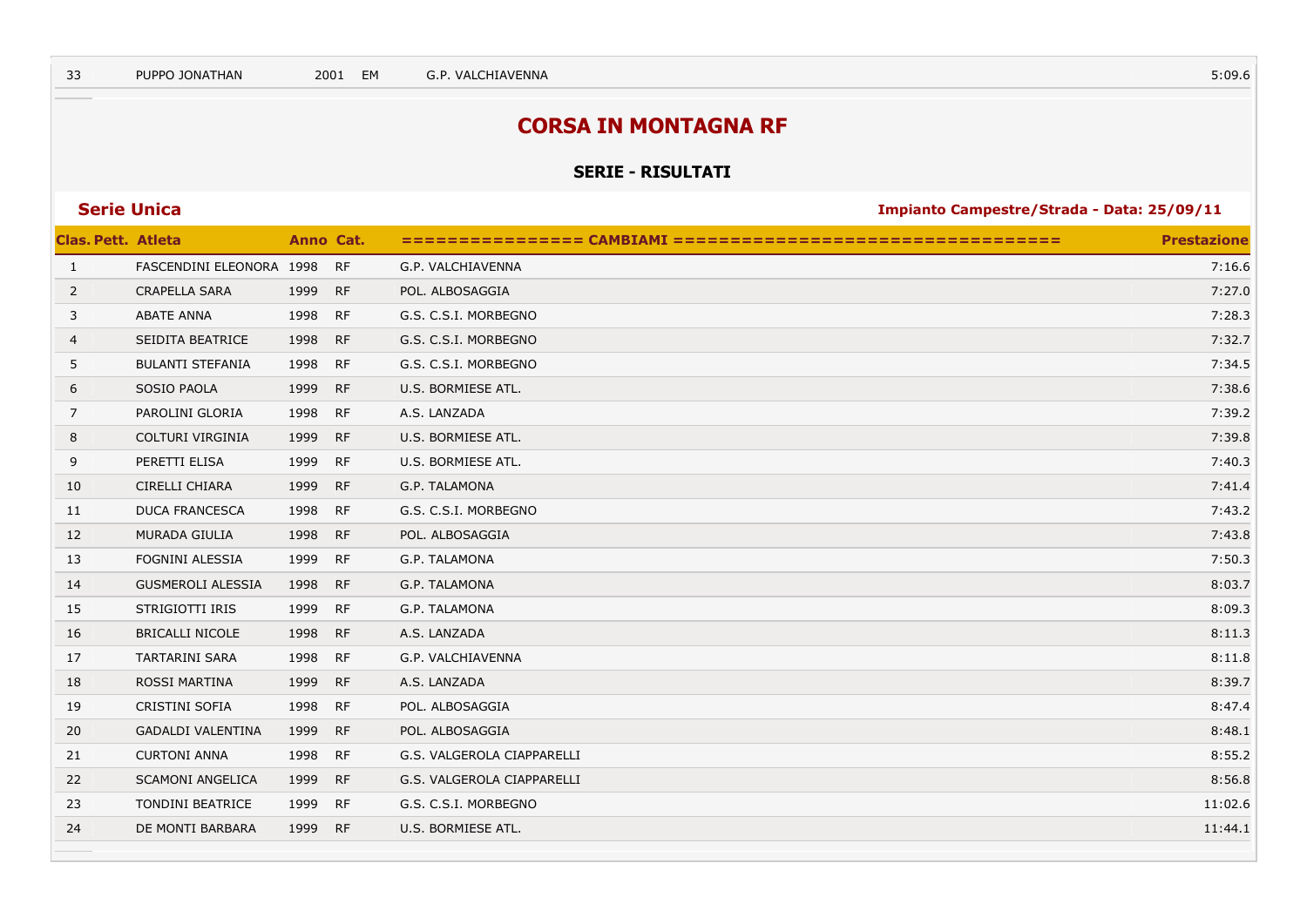## **CORSA IN MONTAGNA RF**

#### **SERIE - RISULTATI**

| <b>Clas. Pett. Atleta</b> |                          | Anno Cat. |           |                            | <b>Prestazione</b> |
|---------------------------|--------------------------|-----------|-----------|----------------------------|--------------------|
| $\mathbf{1}$              | FASCENDINI ELEONORA 1998 |           | <b>RF</b> | G.P. VALCHIAVENNA          | 7:16.6             |
| $\overline{2}$            | <b>CRAPELLA SARA</b>     | 1999      | <b>RF</b> | POL. ALBOSAGGIA            | 7:27.0             |
| 3                         | <b>ABATE ANNA</b>        | 1998 RF   |           | G.S. C.S.I. MORBEGNO       | 7:28.3             |
| 4                         | SEIDITA BEATRICE         | 1998 RF   |           | G.S. C.S.I. MORBEGNO       | 7:32.7             |
| 5                         | <b>BULANTI STEFANIA</b>  | 1998 RF   |           | G.S. C.S.I. MORBEGNO       | 7:34.5             |
| 6                         | <b>SOSIO PAOLA</b>       | 1999 RF   |           | U.S. BORMIESE ATL.         | 7:38.6             |
| 7                         | PAROLINI GLORIA          | 1998 RF   |           | A.S. LANZADA               | 7:39.2             |
| 8                         | COLTURI VIRGINIA         | 1999 RF   |           | U.S. BORMIESE ATL.         | 7:39.8             |
| 9                         | PERETTI ELISA            | 1999      | <b>RF</b> | U.S. BORMIESE ATL.         | 7:40.3             |
| 10                        | <b>CIRELLI CHIARA</b>    | 1999      | RF        | G.P. TALAMONA              | 7:41.4             |
| 11                        | <b>DUCA FRANCESCA</b>    | 1998      | <b>RF</b> | G.S. C.S.I. MORBEGNO       | 7:43.2             |
| 12                        | MURADA GIULIA            | 1998 RF   |           | POL. ALBOSAGGIA            | 7:43.8             |
| 13                        | FOGNINI ALESSIA          | 1999      | <b>RF</b> | G.P. TALAMONA              | 7:50.3             |
| 14                        | <b>GUSMEROLI ALESSIA</b> | 1998 RF   |           | G.P. TALAMONA              | 8:03.7             |
| 15                        | STRIGIOTTI IRIS          | 1999      | <b>RF</b> | G.P. TALAMONA              | 8:09.3             |
| 16                        | <b>BRICALLI NICOLE</b>   | 1998      | <b>RF</b> | A.S. LANZADA               | 8:11.3             |
| 17                        | <b>TARTARINI SARA</b>    | 1998 RF   |           | G.P. VALCHIAVENNA          | 8:11.8             |
| 18                        | ROSSI MARTINA            | 1999 RF   |           | A.S. LANZADA               | 8:39.7             |
| 19                        | CRISTINI SOFIA           | 1998 RF   |           | POL. ALBOSAGGIA            | 8:47.4             |
| 20                        | <b>GADALDI VALENTINA</b> | 1999 RF   |           | POL. ALBOSAGGIA            | 8:48.1             |
| 21                        | <b>CURTONI ANNA</b>      | 1998 RF   |           | G.S. VALGEROLA CIAPPARELLI | 8:55.2             |
| 22                        | <b>SCAMONI ANGELICA</b>  | 1999 RF   |           | G.S. VALGEROLA CIAPPARELLI | 8:56.8             |
| 23                        | <b>TONDINI BEATRICE</b>  | 1999 RF   |           | G.S. C.S.I. MORBEGNO       | 11:02.6            |
| 24                        | DE MONTI BARBARA         | 1999 RF   |           | U.S. BORMIESE ATL.         | 11:44.1            |
|                           |                          |           |           |                            |                    |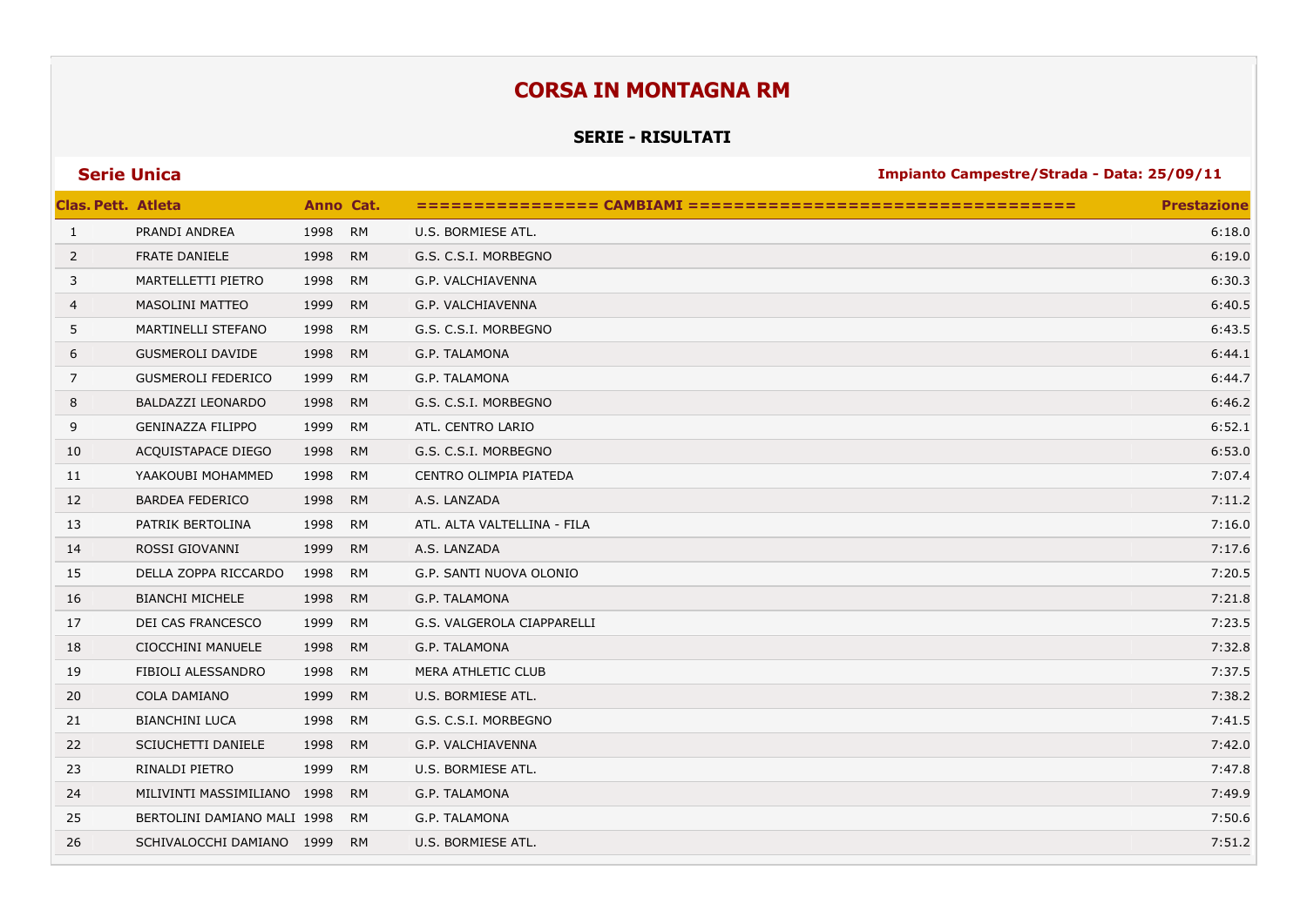## **CORSA IN MONTAGNA RM**

### **SERIE - RISULTATI**

| <b>Serie Unica</b> |  |  |
|--------------------|--|--|
|                    |  |  |

**Series 25/09/11 Impianto Campestre/Strada - Data: 25/09/11** 

| <b>Clas. Pett. Atleta</b> |                             |      | Anno Cat. |                             | <b>Prestazione</b> |
|---------------------------|-----------------------------|------|-----------|-----------------------------|--------------------|
| $\mathbf{1}$              | PRANDI ANDREA               | 1998 | <b>RM</b> | U.S. BORMIESE ATL.          | 6:18.0             |
| 2                         | <b>FRATE DANIELE</b>        | 1998 | <b>RM</b> | G.S. C.S.I. MORBEGNO        | 6:19.0             |
| 3                         | MARTELLETTI PIETRO          | 1998 | <b>RM</b> | G.P. VALCHIAVENNA           | 6:30.3             |
| 4                         | <b>MASOLINI MATTEO</b>      | 1999 | <b>RM</b> | G.P. VALCHIAVENNA           | 6:40.5             |
| 5                         | MARTINELLI STEFANO          | 1998 | <b>RM</b> | G.S. C.S.I. MORBEGNO        | 6:43.5             |
| 6                         | <b>GUSMEROLI DAVIDE</b>     | 1998 | <b>RM</b> | G.P. TALAMONA               | 6:44.1             |
| 7                         | <b>GUSMEROLI FEDERICO</b>   | 1999 | <b>RM</b> | G.P. TALAMONA               | 6:44.7             |
| 8                         | BALDAZZI LEONARDO           | 1998 | <b>RM</b> | G.S. C.S.I. MORBEGNO        | 6:46.2             |
| 9                         | <b>GENINAZZA FILIPPO</b>    | 1999 | <b>RM</b> | ATL. CENTRO LARIO           | 6:52.1             |
| 10                        | ACQUISTAPACE DIEGO          | 1998 | <b>RM</b> | G.S. C.S.I. MORBEGNO        | 6:53.0             |
| 11                        | YAAKOUBI MOHAMMED           | 1998 | <b>RM</b> | CENTRO OLIMPIA PIATEDA      | 7:07.4             |
| 12                        | <b>BARDEA FEDERICO</b>      | 1998 | <b>RM</b> | A.S. LANZADA                | 7:11.2             |
| 13                        | PATRIK BERTOLINA            | 1998 | <b>RM</b> | ATL. ALTA VALTELLINA - FILA | 7:16.0             |
| 14                        | ROSSI GIOVANNI              | 1999 | <b>RM</b> | A.S. LANZADA                | 7:17.6             |
| 15                        | DELLA ZOPPA RICCARDO        | 1998 | <b>RM</b> | G.P. SANTI NUOVA OLONIO     | 7:20.5             |
| 16                        | <b>BIANCHI MICHELE</b>      | 1998 | <b>RM</b> | G.P. TALAMONA               | 7:21.8             |
| 17                        | DEI CAS FRANCESCO           | 1999 | <b>RM</b> | G.S. VALGEROLA CIAPPARELLI  | 7:23.5             |
| 18                        | CIOCCHINI MANUELE           | 1998 | <b>RM</b> | G.P. TALAMONA               | 7:32.8             |
| 19                        | FIBIOLI ALESSANDRO          | 1998 | <b>RM</b> | MERA ATHLETIC CLUB          | 7:37.5             |
| 20                        | COLA DAMIANO                | 1999 | <b>RM</b> | U.S. BORMIESE ATL.          | 7:38.2             |
| 21                        | <b>BIANCHINI LUCA</b>       | 1998 | <b>RM</b> | G.S. C.S.I. MORBEGNO        | 7:41.5             |
| 22                        | SCIUCHETTI DANIELE          | 1998 | <b>RM</b> | G.P. VALCHIAVENNA           | 7:42.0             |
| 23                        | RINALDI PIETRO              | 1999 | <b>RM</b> | U.S. BORMIESE ATL.          | 7:47.8             |
| 24                        | MILIVINTI MASSIMILIANO 1998 |      | <b>RM</b> | <b>G.P. TALAMONA</b>        | 7:49.9             |
| 25                        | BERTOLINI DAMIANO MALI 1998 |      | <b>RM</b> | G.P. TALAMONA               | 7:50.6             |
| 26                        | SCHIVALOCCHI DAMIANO 1999   |      | <b>RM</b> | U.S. BORMIESE ATL.          | 7:51.2             |
|                           |                             |      |           |                             |                    |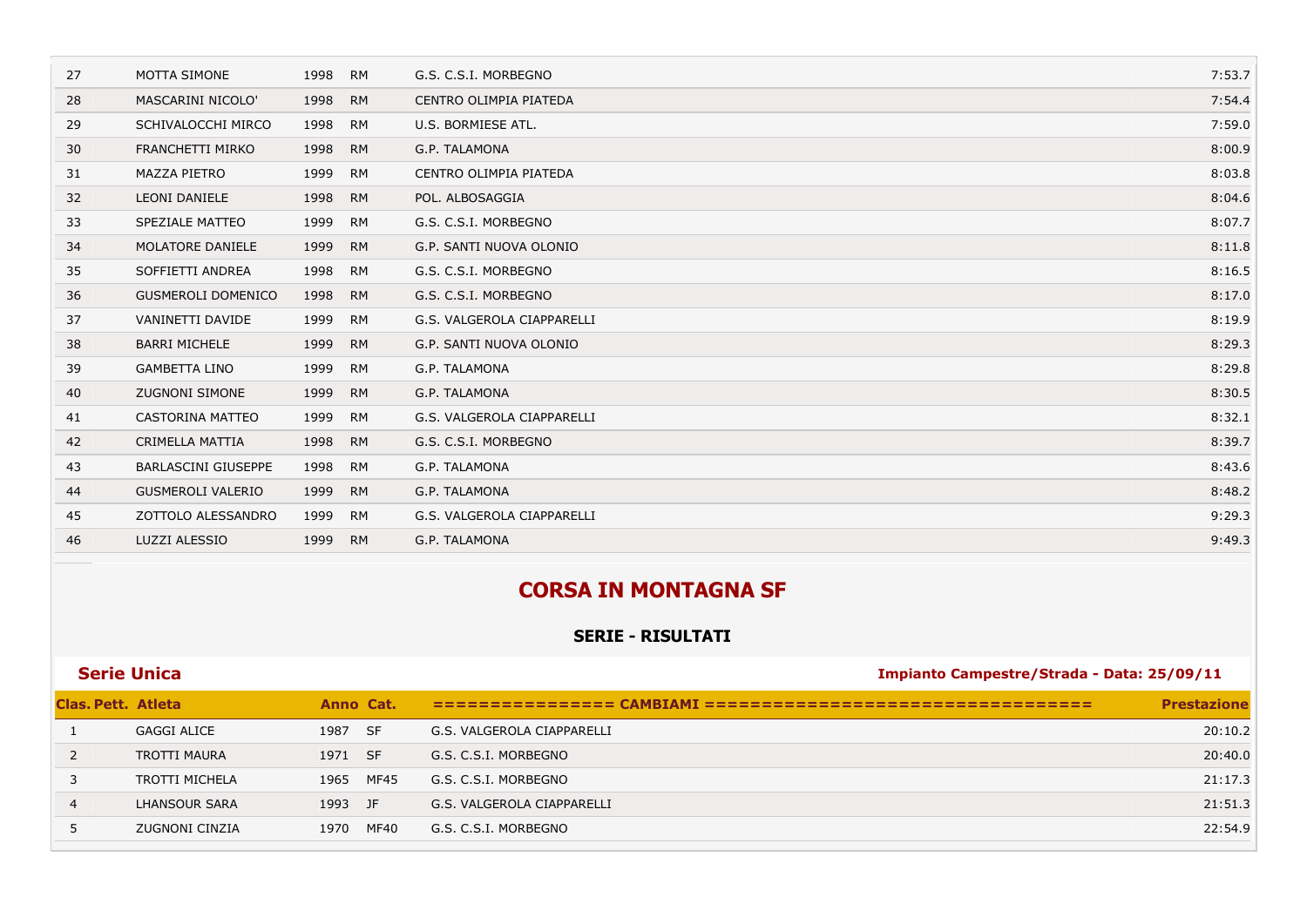| 27 | <b>MOTTA SIMONE</b>        | 1998 | <b>RM</b> | G.S. C.S.I. MORBEGNO       | 7:53.7 |
|----|----------------------------|------|-----------|----------------------------|--------|
| 28 | MASCARINI NICOLO'          | 1998 | <b>RM</b> | CENTRO OLIMPIA PIATEDA     | 7:54.4 |
| 29 | SCHIVALOCCHI MIRCO         | 1998 | <b>RM</b> | U.S. BORMIESE ATL.         | 7:59.0 |
| 30 | FRANCHETTI MIRKO           | 1998 | <b>RM</b> | G.P. TALAMONA              | 8:00.9 |
| 31 | <b>MAZZA PIETRO</b>        | 1999 | <b>RM</b> | CENTRO OLIMPIA PIATEDA     | 8:03.8 |
| 32 | <b>LEONI DANIELE</b>       | 1998 | <b>RM</b> | POL. ALBOSAGGIA            | 8:04.6 |
| 33 | SPEZIALE MATTEO            | 1999 | <b>RM</b> | G.S. C.S.I. MORBEGNO       | 8:07.7 |
| 34 | MOLATORE DANIELE           | 1999 | <b>RM</b> | G.P. SANTI NUOVA OLONIO    | 8:11.8 |
| 35 | SOFFIETTI ANDREA           | 1998 | <b>RM</b> | G.S. C.S.I. MORBEGNO       | 8:16.5 |
| 36 | <b>GUSMEROLI DOMENICO</b>  | 1998 | <b>RM</b> | G.S. C.S.I. MORBEGNO       | 8:17.0 |
| 37 | VANINETTI DAVIDE           | 1999 | <b>RM</b> | G.S. VALGEROLA CIAPPARELLI | 8:19.9 |
| 38 | <b>BARRI MICHELE</b>       | 1999 | <b>RM</b> | G.P. SANTI NUOVA OLONIO    | 8:29.3 |
| 39 | <b>GAMBETTA LINO</b>       | 1999 | <b>RM</b> | G.P. TALAMONA              | 8:29.8 |
| 40 | <b>ZUGNONI SIMONE</b>      | 1999 | <b>RM</b> | G.P. TALAMONA              | 8:30.5 |
| 41 | CASTORINA MATTEO           | 1999 | <b>RM</b> | G.S. VALGEROLA CIAPPARELLI | 8:32.1 |
| 42 | CRIMELLA MATTIA            | 1998 | <b>RM</b> | G.S. C.S.I. MORBEGNO       | 8:39.7 |
| 43 | <b>BARLASCINI GIUSEPPE</b> | 1998 | <b>RM</b> | G.P. TALAMONA              | 8:43.6 |
| 44 | <b>GUSMEROLI VALERIO</b>   | 1999 | <b>RM</b> | G.P. TALAMONA              | 8:48.2 |
| 45 | ZOTTOLO ALESSANDRO         | 1999 | <b>RM</b> | G.S. VALGEROLA CIAPPARELLI | 9:29.3 |
| 46 | LUZZI ALESSIO              | 1999 | <b>RM</b> | G.P. TALAMONA              | 9:49.3 |

## **CORSA IN MONTAGNA SF**

## **SERIE - RISULTATI**

| <b>Serie Unica</b>        |                     |         |           | Impianto Campestre/Strada - Data: 25/09/11 |                    |  |
|---------------------------|---------------------|---------|-----------|--------------------------------------------|--------------------|--|
| <b>Clas. Pett. Atleta</b> |                     |         | Anno Cat. |                                            | <b>Prestazione</b> |  |
|                           | <b>GAGGI ALICE</b>  | 1987 SF |           | G.S. VALGEROLA CIAPPARELLI                 | 20:10.2            |  |
| 2                         | <b>TROTTI MAURA</b> | 1971 SF |           | G.S. C.S.I. MORBEGNO                       | 20:40.0            |  |
|                           | TROTTI MICHELA      | 1965    | MF45      | G.S. C.S.I. MORBEGNO                       | 21:17.3            |  |
| 4                         | LHANSOUR SARA       | 1993 JF |           | G.S. VALGEROLA CIAPPARELLI                 | 21:51.3            |  |
|                           | ZUGNONI CINZIA      | 1970    | MF40      | G.S. C.S.I. MORBEGNO                       | 22:54.9            |  |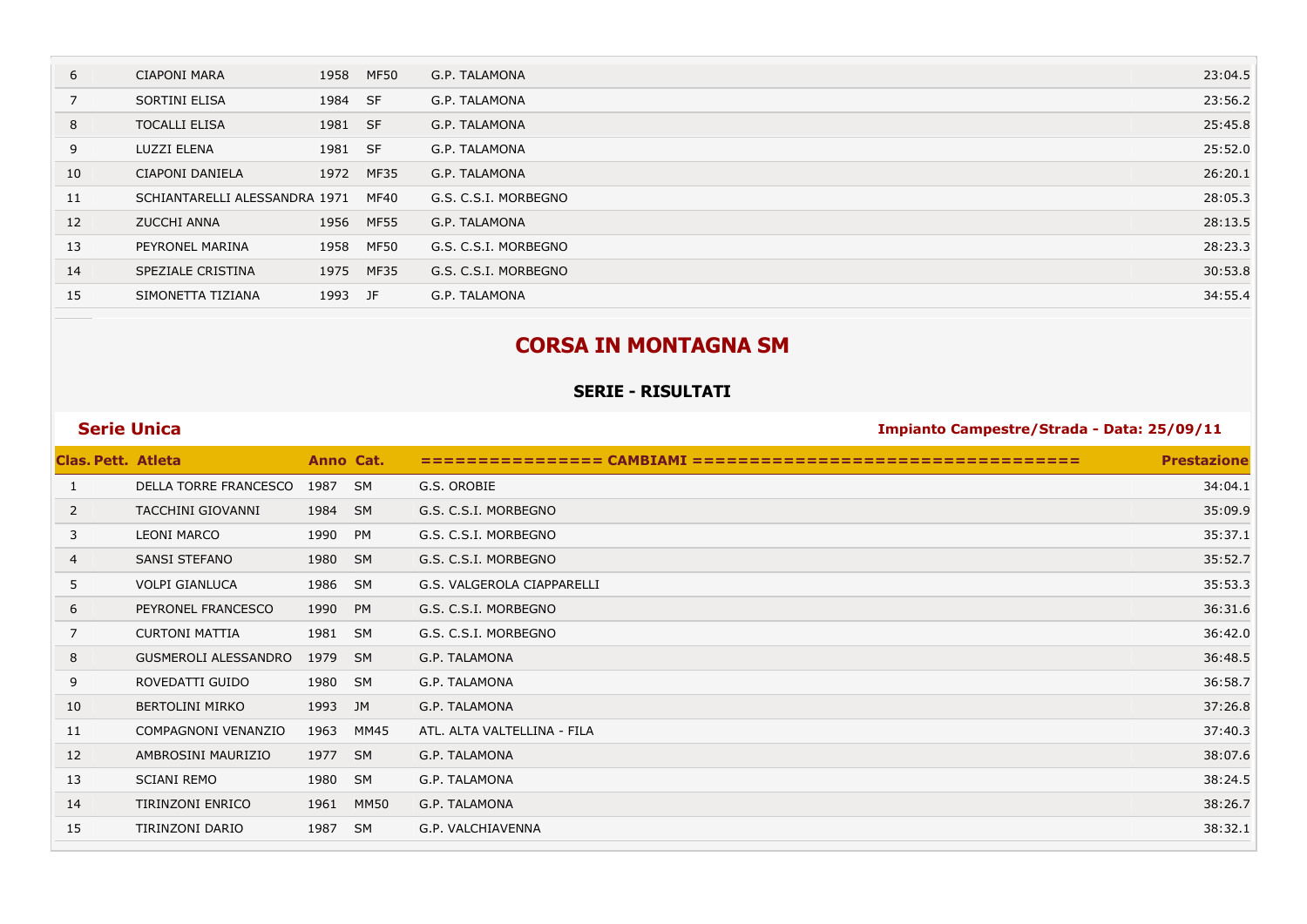| 6  | <b>CIAPONI MARA</b>           | 1958    | <b>MF50</b> | G.P. TALAMONA        | 23:04.5 |
|----|-------------------------------|---------|-------------|----------------------|---------|
|    | SORTINI ELISA                 | 1984 SF |             | G.P. TALAMONA        | 23:56.2 |
| 8  | <b>TOCALLI ELISA</b>          | 1981 SF |             | G.P. TALAMONA        | 25:45.8 |
| 9  | LUZZI ELENA                   | 1981 SF |             | G.P. TALAMONA        | 25:52.0 |
| 10 | CIAPONI DANIELA               | 1972    | MF35        | G.P. TALAMONA        | 26:20.1 |
| 11 | SCHIANTARELLI ALESSANDRA 1971 |         | MF40        | G.S. C.S.I. MORBEGNO | 28:05.3 |
| 12 | <b>ZUCCHI ANNA</b>            | 1956    | <b>MF55</b> | G.P. TALAMONA        | 28:13.5 |
| 13 | PEYRONEL MARINA               | 1958    | MF50        | G.S. C.S.I. MORBEGNO | 28:23.3 |
| 14 | SPEZIALE CRISTINA             | 1975    | MF35        | G.S. C.S.I. MORBEGNO | 30:53.8 |
| 15 | SIMONETTA TIZIANA             | 1993 JF |             | G.P. TALAMONA        | 34:55.4 |
|    |                               |         |             |                      |         |

## **CORSA IN MONTAGNA SM**

### **SERIE - RISULTATI**

## **Clas. Pett. Atleta Anno Cat. ================ CAMBIAMI ================================== Prestazione** DELLA TORRE FRANCESCO 1987 SM G.S. OROBIE 34:04.1 TACCHINI GIOVANNI 1984 SM G.S. C.S.I. MORBEGNO 35:09.9 LEONI MARCO 1990 PM G.S. C.S.I. MORBEGNO 35:37.1 SANSI STEFANO 1980 SM G.S. C.S.I. MORBEGNO 35:52.7 VOLPI GIANLUCA 1986 SM G.S. VALGEROLA CIAPPARELLI 35:53.3 PEYRONEL FRANCESCO 1990 PM G.S. C.S.I. MORBEGNO 36:31.6 CURTONI MATTIA 1981 SM G.S. C.S.I. MORBEGNO 36:42.0 GUSMEROLI ALESSANDRO 1979 SM G.P. TALAMONA 36:48.5 ROVEDATTI GUIDO 1980 SM G.P. TALAMONA 36:58.7 BERTOLINI MIRKO 1993 JM G.P. TALAMONA 37:26.8 COMPAGNONI VENANZIO 1963 MM45 ATL. ALTA VALTELLINA - FILA 37:40.3 AMBROSINI MAURIZIO 1977 SM G.P. TALAMONA 38:07.6 SCIANI REMO 1980 SM G.P. TALAMONA 38:24.5 TIRINZONI ENRICO 1961 MM50 G.P. TALAMONA 38:26.7 TIRINZONI DARIO 1987 SM G.P. VALCHIAVENNA 38:32.1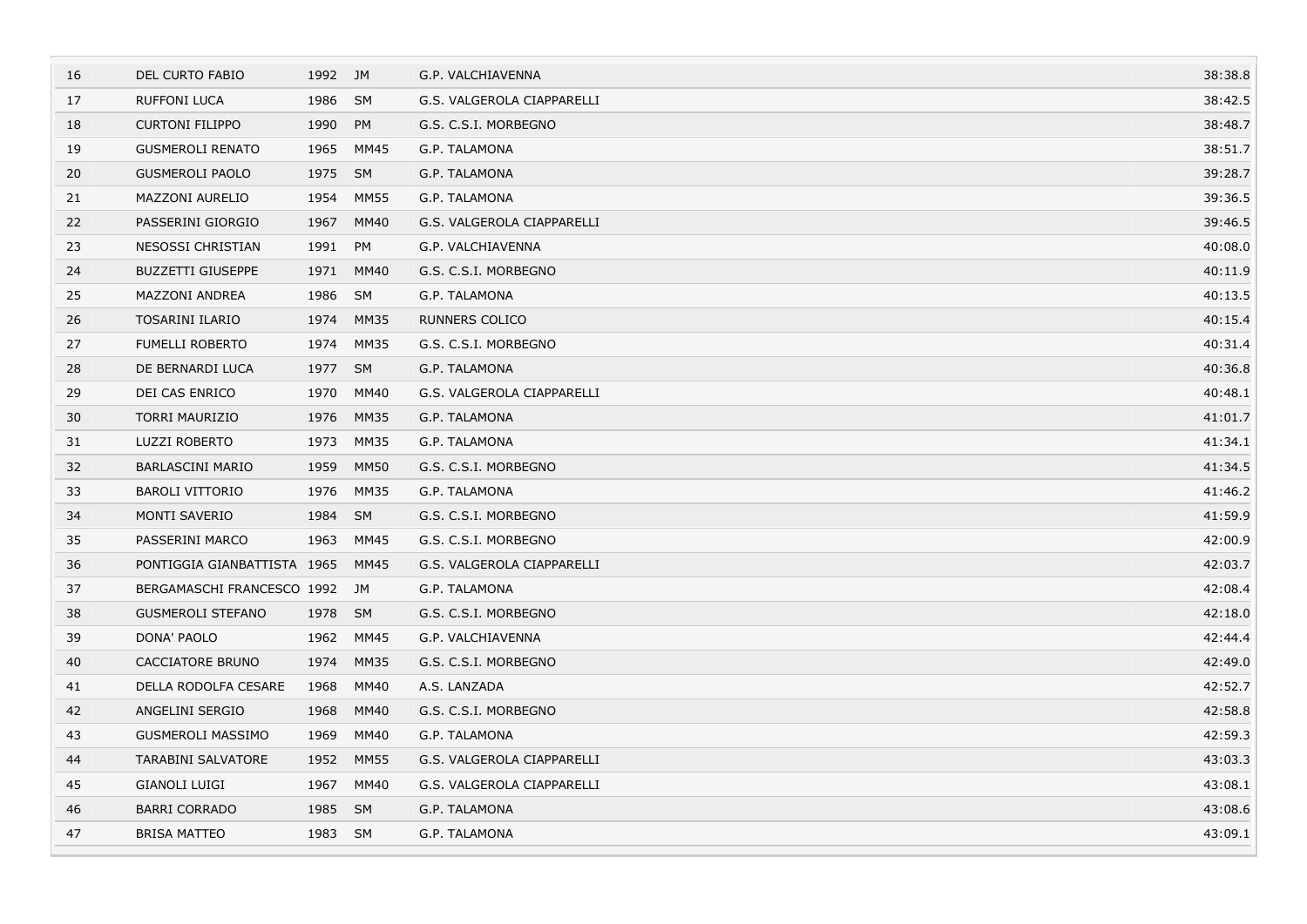| 16 | <b>DEL CURTO FABIO</b>      | 1992    | JM          | G.P. VALCHIAVENNA          | 38:38.8 |
|----|-----------------------------|---------|-------------|----------------------------|---------|
| 17 | <b>RUFFONI LUCA</b>         | 1986    | <b>SM</b>   | G.S. VALGEROLA CIAPPARELLI | 38:42.5 |
| 18 | <b>CURTONI FILIPPO</b>      | 1990    | PM          | G.S. C.S.I. MORBEGNO       | 38:48.7 |
| 19 | <b>GUSMEROLI RENATO</b>     | 1965    | MM45        | G.P. TALAMONA              | 38:51.7 |
| 20 | <b>GUSMEROLI PAOLO</b>      | 1975    | <b>SM</b>   | G.P. TALAMONA              | 39:28.7 |
| 21 | <b>MAZZONI AURELIO</b>      | 1954    | <b>MM55</b> | G.P. TALAMONA              | 39:36.5 |
| 22 | PASSERINI GIORGIO           | 1967    | <b>MM40</b> | G.S. VALGEROLA CIAPPARELLI | 39:46.5 |
| 23 | NESOSSI CHRISTIAN           | 1991    | PM          | G.P. VALCHIAVENNA          | 40:08.0 |
| 24 | <b>BUZZETTI GIUSEPPE</b>    | 1971    | <b>MM40</b> | G.S. C.S.I. MORBEGNO       | 40:11.9 |
| 25 | <b>MAZZONI ANDREA</b>       | 1986    | SM          | G.P. TALAMONA              | 40:13.5 |
| 26 | <b>TOSARINI ILARIO</b>      | 1974    | <b>MM35</b> | <b>RUNNERS COLICO</b>      | 40:15.4 |
| 27 | <b>FUMELLI ROBERTO</b>      | 1974    | MM35        | G.S. C.S.I. MORBEGNO       | 40:31.4 |
| 28 | DE BERNARDI LUCA            | 1977 SM |             | G.P. TALAMONA              | 40:36.8 |
| 29 | DEI CAS ENRICO              | 1970    | MM40        | G.S. VALGEROLA CIAPPARELLI | 40:48.1 |
| 30 | <b>TORRI MAURIZIO</b>       | 1976    | <b>MM35</b> | G.P. TALAMONA              | 41:01.7 |
| 31 | LUZZI ROBERTO               | 1973    | MM35        | G.P. TALAMONA              | 41:34.1 |
| 32 | <b>BARLASCINI MARIO</b>     | 1959    | <b>MM50</b> | G.S. C.S.I. MORBEGNO       | 41:34.5 |
| 33 | <b>BAROLI VITTORIO</b>      | 1976    | MM35        | G.P. TALAMONA              | 41:46.2 |
| 34 | <b>MONTI SAVERIO</b>        | 1984    | <b>SM</b>   | G.S. C.S.I. MORBEGNO       | 41:59.9 |
| 35 | PASSERINI MARCO             | 1963    | MM45        | G.S. C.S.I. MORBEGNO       | 42:00.9 |
| 36 | PONTIGGIA GIANBATTISTA 1965 |         | MM45        | G.S. VALGEROLA CIAPPARELLI | 42:03.7 |
| 37 | BERGAMASCHI FRANCESCO 1992  |         | JM          | G.P. TALAMONA              | 42:08.4 |
| 38 | <b>GUSMEROLI STEFANO</b>    | 1978 SM |             | G.S. C.S.I. MORBEGNO       | 42:18.0 |
| 39 | DONA' PAOLO                 | 1962    | MM45        | G.P. VALCHIAVENNA          | 42:44.4 |
| 40 | CACCIATORE BRUNO            | 1974    | <b>MM35</b> | G.S. C.S.I. MORBEGNO       | 42:49.0 |
| 41 | DELLA RODOLFA CESARE        | 1968    | MM40        | A.S. LANZADA               | 42:52.7 |
| 42 | ANGELINI SERGIO             | 1968    | <b>MM40</b> | G.S. C.S.I. MORBEGNO       | 42:58.8 |
| 43 | <b>GUSMEROLI MASSIMO</b>    | 1969    | MM40        | G.P. TALAMONA              | 42:59.3 |
| 44 | <b>TARABINI SALVATORE</b>   | 1952    | <b>MM55</b> | G.S. VALGEROLA CIAPPARELLI | 43:03.3 |
| 45 | <b>GIANOLI LUIGI</b>        | 1967    | <b>MM40</b> | G.S. VALGEROLA CIAPPARELLI | 43:08.1 |
| 46 | <b>BARRI CORRADO</b>        | 1985    | <b>SM</b>   | G.P. TALAMONA              | 43:08.6 |
| 47 | <b>BRISA MATTEO</b>         | 1983 SM |             | G.P. TALAMONA              | 43:09.1 |
|    |                             |         |             |                            |         |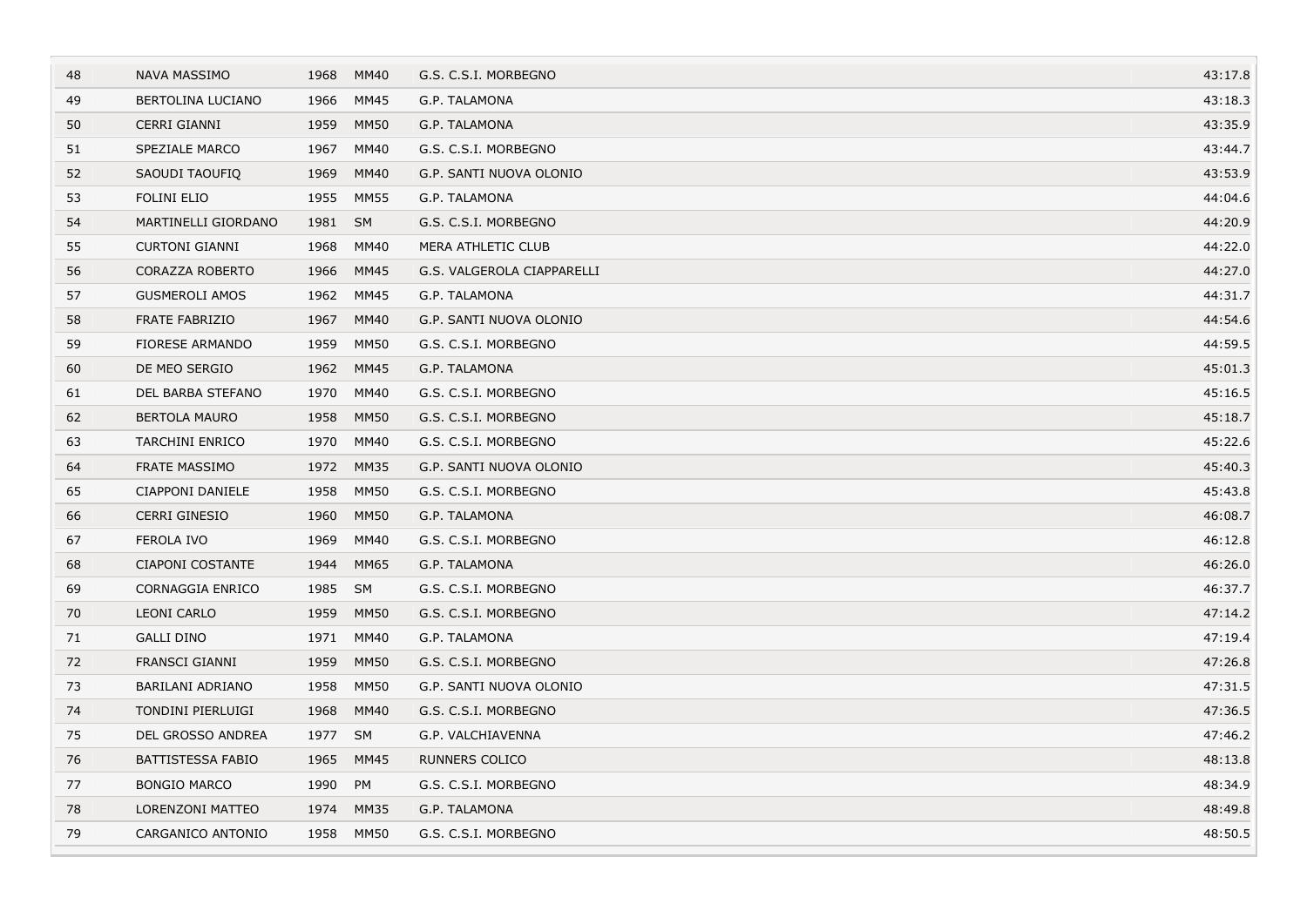| 48 | <b>NAVA MASSIMO</b>      | 1968 | MM40        | G.S. C.S.I. MORBEGNO       | 43:17.8 |
|----|--------------------------|------|-------------|----------------------------|---------|
| 49 | BERTOLINA LUCIANO        | 1966 | MM45        | G.P. TALAMONA              | 43:18.3 |
| 50 | CERRI GIANNI             | 1959 | <b>MM50</b> | G.P. TALAMONA              | 43:35.9 |
| 51 | SPEZIALE MARCO           | 1967 | MM40        | G.S. C.S.I. MORBEGNO       | 43:44.7 |
| 52 | SAOUDI TAOUFIQ           | 1969 | MM40        | G.P. SANTI NUOVA OLONIO    | 43:53.9 |
| 53 | <b>FOLINI ELIO</b>       | 1955 | <b>MM55</b> | G.P. TALAMONA              | 44:04.6 |
| 54 | MARTINELLI GIORDANO      | 1981 | SM          | G.S. C.S.I. MORBEGNO       | 44:20.9 |
| 55 | <b>CURTONI GIANNI</b>    | 1968 | MM40        | MERA ATHLETIC CLUB         | 44:22.0 |
| 56 | <b>CORAZZA ROBERTO</b>   | 1966 | <b>MM45</b> | G.S. VALGEROLA CIAPPARELLI | 44:27.0 |
| 57 | <b>GUSMEROLI AMOS</b>    | 1962 | <b>MM45</b> | G.P. TALAMONA              | 44:31.7 |
| 58 | <b>FRATE FABRIZIO</b>    | 1967 | <b>MM40</b> | G.P. SANTI NUOVA OLONIO    | 44:54.6 |
| 59 | <b>FIORESE ARMANDO</b>   | 1959 | <b>MM50</b> | G.S. C.S.I. MORBEGNO       | 44:59.5 |
| 60 | DE MEO SERGIO            | 1962 | <b>MM45</b> | G.P. TALAMONA              | 45:01.3 |
| 61 | DEL BARBA STEFANO        | 1970 | MM40        | G.S. C.S.I. MORBEGNO       | 45:16.5 |
| 62 | <b>BERTOLA MAURO</b>     | 1958 | <b>MM50</b> | G.S. C.S.I. MORBEGNO       | 45:18.7 |
| 63 | <b>TARCHINI ENRICO</b>   | 1970 | MM40        | G.S. C.S.I. MORBEGNO       | 45:22.6 |
| 64 | <b>FRATE MASSIMO</b>     | 1972 | <b>MM35</b> | G.P. SANTI NUOVA OLONIO    | 45:40.3 |
| 65 | CIAPPONI DANIELE         | 1958 | <b>MM50</b> | G.S. C.S.I. MORBEGNO       | 45:43.8 |
| 66 | <b>CERRI GINESIO</b>     | 1960 | <b>MM50</b> | G.P. TALAMONA              | 46:08.7 |
| 67 | FEROLA IVO               | 1969 | MM40        | G.S. C.S.I. MORBEGNO       | 46:12.8 |
| 68 | <b>CIAPONI COSTANTE</b>  | 1944 | <b>MM65</b> | G.P. TALAMONA              | 46:26.0 |
| 69 | CORNAGGIA ENRICO         | 1985 | SM          | G.S. C.S.I. MORBEGNO       | 46:37.7 |
| 70 | <b>LEONI CARLO</b>       | 1959 | <b>MM50</b> | G.S. C.S.I. MORBEGNO       | 47:14.2 |
| 71 | <b>GALLI DINO</b>        | 1971 | MM40        | G.P. TALAMONA              | 47:19.4 |
| 72 | FRANSCI GIANNI           | 1959 | <b>MM50</b> | G.S. C.S.I. MORBEGNO       | 47:26.8 |
| 73 | <b>BARILANI ADRIANO</b>  | 1958 | <b>MM50</b> | G.P. SANTI NUOVA OLONIO    | 47:31.5 |
| 74 | TONDINI PIERLUIGI        | 1968 | MM40        | G.S. C.S.I. MORBEGNO       | 47:36.5 |
| 75 | DEL GROSSO ANDREA        | 1977 | <b>SM</b>   | G.P. VALCHIAVENNA          | 47:46.2 |
| 76 | <b>BATTISTESSA FABIO</b> | 1965 | <b>MM45</b> | <b>RUNNERS COLICO</b>      | 48:13.8 |
| 77 | <b>BONGIO MARCO</b>      | 1990 | PM          | G.S. C.S.I. MORBEGNO       | 48:34.9 |
| 78 | LORENZONI MATTEO         | 1974 | <b>MM35</b> | G.P. TALAMONA              | 48:49.8 |
| 79 | CARGANICO ANTONIO        | 1958 | MM50        | G.S. C.S.I. MORBEGNO       | 48:50.5 |
|    |                          |      |             |                            |         |